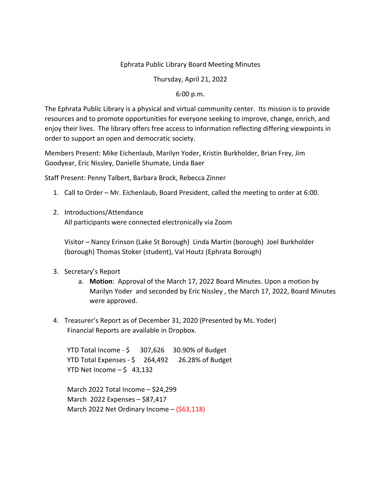#### Ephrata Public Library Board Meeting Minutes

Thursday, April 21, 2022

#### 6:00 p.m.

The Ephrata Public Library is a physical and virtual community center. Its mission is to provide resources and to promote opportunities for everyone seeking to improve, change, enrich, and enjoy their lives. The library offers free access to information reflecting differing viewpoints in order to support an open and democratic society.

Members Present: Mike Eichenlaub, Marilyn Yoder, Kristin Burkholder, Brian Frey, Jim Goodyear, Eric Nissley, Danielle Shumate, Linda Baer

Staff Present: Penny Talbert, Barbara Brock, Rebecca Zinner

- 1. Call to Order Mr. Eichenlaub, Board President, called the meeting to order at 6:00.
- 2. Introductions/Attendance All participants were connected electronically via Zoom

Visitor – Nancy Erinson (Lake St Borough) Linda Martin (borough) Joel Burkholder (borough) Thomas Stoker (student), Val Houtz (Ephrata Borough)

- 3. Secretary's Report
	- a. **Motion**: Approval of the March 17, 2022 Board Minutes. Upon a motion by Marilyn Yoder and seconded by Eric Nissley , the March 17, 2022, Board Minutes were approved.
- 4. Treasurer's Report as of December 31, 2020 (Presented by Ms. Yoder) Financial Reports are available in Dropbox.

YTD Total Income - \$ 307,626 30.90% of Budget YTD Total Expenses - \$ 264,492 26.28% of Budget YTD Net Income  $-$  \$ 43,132

March 2022 Total Income – \$24,299 March 2022 Expenses – \$87,417 March 2022 Net Ordinary Income – (\$63,118)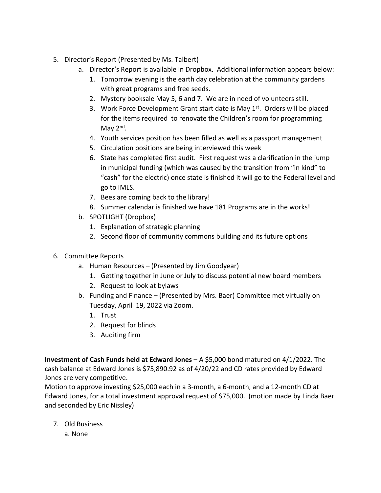- 5. Director's Report (Presented by Ms. Talbert)
	- a. Director's Report is available in Dropbox. Additional information appears below:
		- 1. Tomorrow evening is the earth day celebration at the community gardens with great programs and free seeds.
		- 2. Mystery booksale May 5, 6 and 7. We are in need of volunteers still.
		- 3. Work Force Development Grant start date is May  $1<sup>st</sup>$ . Orders will be placed for the items required to renovate the Children's room for programming May  $2<sup>nd</sup>$ .
		- 4. Youth services position has been filled as well as a passport management
		- 5. Circulation positions are being interviewed this week
		- 6. State has completed first audit. First request was a clarification in the jump in municipal funding (which was caused by the transition from "in kind" to "cash" for the electric) once state is finished it will go to the Federal level and go to IMLS.
		- 7. Bees are coming back to the library!
		- 8. Summer calendar is finished we have 181 Programs are in the works!
	- b. SPOTLIGHT (Dropbox)
		- 1. Explanation of strategic planning
		- 2. Second floor of community commons building and its future options
- 6. Committee Reports
	- a. Human Resources (Presented by Jim Goodyear)
		- 1. Getting together in June or July to discuss potential new board members
		- 2. Request to look at bylaws
	- b. Funding and Finance (Presented by Mrs. Baer) Committee met virtually on Tuesday, April 19, 2022 via Zoom.
		- 1. Trust
		- 2. Request for blinds
		- 3. Auditing firm

**Investment of Cash Funds held at Edward Jones –** A \$5,000 bond matured on 4/1/2022. The cash balance at Edward Jones is \$75,890.92 as of 4/20/22 and CD rates provided by Edward Jones are very competitive.

Motion to approve investing \$25,000 each in a 3-month, a 6-month, and a 12-month CD at Edward Jones, for a total investment approval request of \$75,000. (motion made by Linda Baer and seconded by Eric Nissley)

- 7. Old Business
	- a. None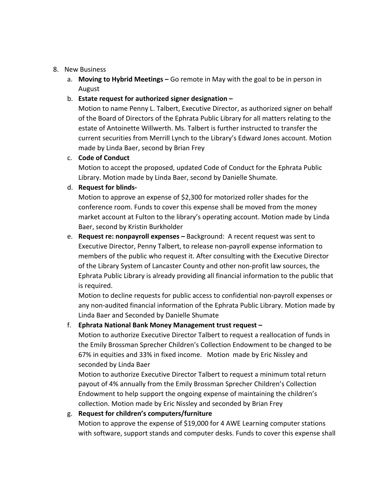#### 8. New Business

a. **Moving to Hybrid Meetings –** Go remote in May with the goal to be in person in August

## b. **Estate request for authorized signer designation –**

Motion to name Penny L. Talbert, Executive Director, as authorized signer on behalf of the Board of Directors of the Ephrata Public Library for all matters relating to the estate of Antoinette Willwerth. Ms. Talbert is further instructed to transfer the current securities from Merrill Lynch to the Library's Edward Jones account. Motion made by Linda Baer, second by Brian Frey

### c. **Code of Conduct**

Motion to accept the proposed, updated Code of Conduct for the Ephrata Public Library. Motion made by Linda Baer, second by Danielle Shumate.

### d. **Request for blinds-**

Motion to approve an expense of \$2,300 for motorized roller shades for the conference room. Funds to cover this expense shall be moved from the money market account at Fulton to the library's operating account. Motion made by Linda Baer, second by Kristin Burkholder

e. **Request re: nonpayroll expenses –** Background: A recent request was sent to Executive Director, Penny Talbert, to release non-payroll expense information to members of the public who request it. After consulting with the Executive Director of the Library System of Lancaster County and other non-profit law sources, the Ephrata Public Library is already providing all financial information to the public that is required.

Motion to decline requests for public access to confidential non-payroll expenses or any non-audited financial information of the Ephrata Public Library. Motion made by Linda Baer and Seconded by Danielle Shumate

# f. **Ephrata National Bank Money Management trust request –**

Motion to authorize Executive Director Talbert to request a reallocation of funds in the Emily Brossman Sprecher Children's Collection Endowment to be changed to be 67% in equities and 33% in fixed income. Motion made by Eric Nissley and seconded by Linda Baer

Motion to authorize Executive Director Talbert to request a minimum total return payout of 4% annually from the Emily Brossman Sprecher Children's Collection Endowment to help support the ongoing expense of maintaining the children's collection. Motion made by Eric Nissley and seconded by Brian Frey

### g. **Request for children's computers/furniture**

Motion to approve the expense of \$19,000 for 4 AWE Learning computer stations with software, support stands and computer desks. Funds to cover this expense shall